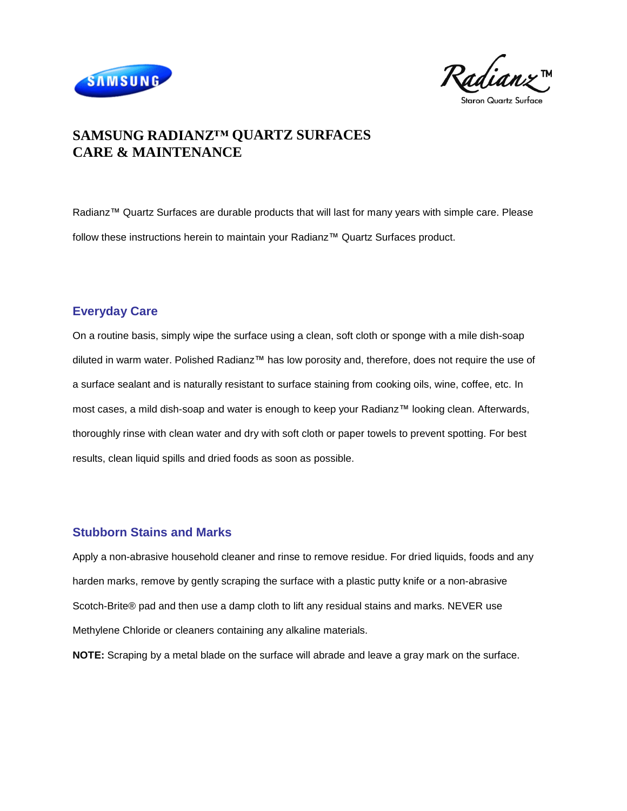



# **SAMSUNG RADIANZ™ QUARTZ SURFACES CARE & MAINTENANCE**

Radianz™ Quartz Surfaces are durable products that will last for many years with simple care. Please follow these instructions herein to maintain your Radianz™ Quartz Surfaces product.

## **Everyday Care**

On a routine basis, simply wipe the surface using a clean, soft cloth or sponge with a mile dish-soap diluted in warm water. Polished Radianz™ has low porosity and, therefore, does not require the use of a surface sealant and is naturally resistant to surface staining from cooking oils, wine, coffee, etc. In most cases, a mild dish-soap and water is enough to keep your Radianz™ looking clean. Afterwards, thoroughly rinse with clean water and dry with soft cloth or paper towels to prevent spotting. For best results, clean liquid spills and dried foods as soon as possible.

## **Stubborn Stains and Marks**

Apply a non-abrasive household cleaner and rinse to remove residue. For dried liquids, foods and any harden marks, remove by gently scraping the surface with a plastic putty knife or a non-abrasive Scotch-Brite® pad and then use a damp cloth to lift any residual stains and marks. NEVER use Methylene Chloride or cleaners containing any alkaline materials.

**NOTE:** Scraping by a metal blade on the surface will abrade and leave a gray mark on the surface.